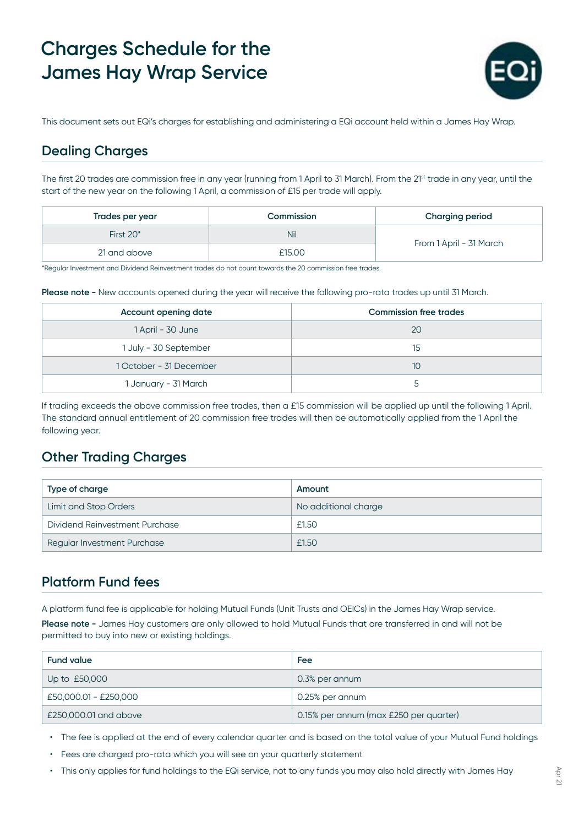# **Charges Schedule for the James Hay Wrap Service**



This document sets out EQi's charges for establishing and administering a EQi account held within a James Hay Wrap.

### **Dealing Charges**

The first 20 trades are commission free in any year (running from 1 April to 31 March). From the 21<sup>st</sup> trade in any year, until the start of the new year on the following 1 April, a commission of £15 per trade will apply.

| Trades per year | Commission | <b>Charging period</b>  |
|-----------------|------------|-------------------------|
| First 20*       | Nil        |                         |
| 21 and above    | £15.00     | From 1 April - 31 March |

\*Regular Investment and Dividend Reinvestment trades do not count towards the 20 commission free trades.

**Please note -** New accounts opened during the year will receive the following pro-rata trades up until 31 March.

| Account opening date    | <b>Commission free trades</b> |
|-------------------------|-------------------------------|
| 1 April - 30 June       | 20                            |
| 1 July - 30 September   | 15                            |
| 1 October - 31 December | 10                            |
| 1 January - 31 March    |                               |

If trading exceeds the above commission free trades, then a £15 commission will be applied up until the following 1 April. The standard annual entitlement of 20 commission free trades will then be automatically applied from the 1 April the following year.

#### **Other Trading Charges**

| Type of charge                 | Amount               |
|--------------------------------|----------------------|
| <b>Limit and Stop Orders</b>   | No additional charge |
| Dividend Reinvestment Purchase | £1.50                |
| Regular Investment Purchase    | £1.50                |

## **Platform Fund fees**

A platform fund fee is applicable for holding Mutual Funds (Unit Trusts and OEICs) in the James Hay Wrap service. **Please note -** James Hay customers are only allowed to hold Mutual Funds that are transferred in and will not be permitted to buy into new or existing holdings.

| <b>Fund value</b>     | Fee                                    |
|-----------------------|----------------------------------------|
| Up to £50,000         | 0.3% per annum                         |
| £50,000.01 - £250,000 | 0.25% per annum                        |
| £250,000.01 and above | 0.15% per annum (max £250 per quarter) |

• The fee is applied at the end of every calendar quarter and is based on the total value of your Mutual Fund holdings

- Fees are charged pro-rata which you will see on your quarterly statement
- This only applies for fund holdings to the EQi service, not to any funds you may also hold directly with James Hay